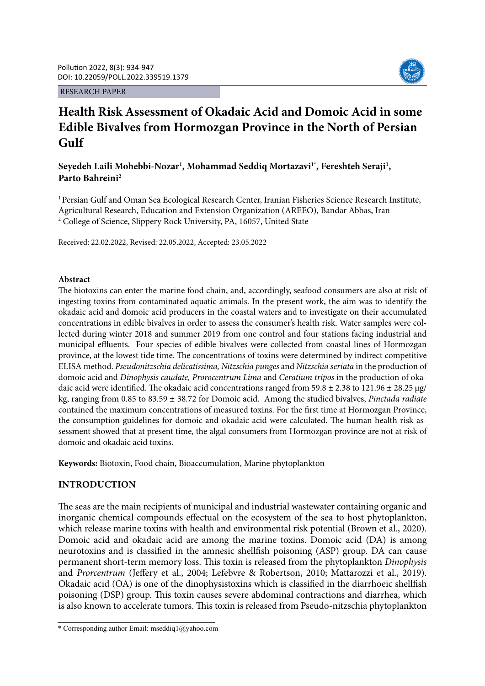RESEARCH PAPER



# **Health Risk Assessment of Okadaic Acid and Domoic Acid in some Edible Bivalves from Hormozgan Province in the North of Persian Gulf**

# Seyedeh Laili Mohebbi-Nozar<sup>1</sup>, Mohammad Seddiq Mortazavi<sup>1\*</sup>, Fereshteh Seraji<sup>1</sup>, **Parto Bahreini2**

<sup>1</sup> Persian Gulf and Oman Sea Ecological Research Center, Iranian Fisheries Science Research Institute, Agricultural Research, Education and Extension Organization (AREEO), Bandar Abbas, Iran 2 College of Science, Slippery Rock University, PA, 16057, United State

Received: 22.02.2022, Revised: 22.05.2022, Accepted: 23.05.2022

# **Abstract**

The biotoxins can enter the marine food chain, and, accordingly, seafood consumers are also at risk of ingesting toxins from contaminated aquatic animals. In the present work, the aim was to identify the okadaic acid and domoic acid producers in the coastal waters and to investigate on their accumulated concentrations in edible bivalves in order to assess the consumer's health risk. Water samples were collected during winter 2018 and summer 2019 from one control and four stations facing industrial and municipal effluents. Four species of edible bivalves were collected from coastal lines of Hormozgan province, at the lowest tide time. The concentrations of toxins were determined by indirect competitive ELISA method. *Pseudonitzschia delicatissima, Nitzschia punges* and *Nitzschia seriata* in the production of domoic acid and *Dinophysis caudate, Prorocentrum Lima* and *Ceratium tripos* in the production of okadaic acid were identified. The okadaic acid concentrations ranged from  $59.8 \pm 2.38$  to  $121.96 \pm 28.25$  µg/ kg, ranging from 0.85 to 83.59 ± 38.72 for Domoic acid. Among the studied bivalves, *Pinctada radiate*  contained the maximum concentrations of measured toxins. For the first time at Hormozgan Province, the consumption guidelines for domoic and okadaic acid were calculated. The human health risk assessment showed that at present time, the algal consumers from Hormozgan province are not at risk of domoic and okadaic acid toxins.

**Keywords:** Biotoxin, Food chain, Bioaccumulation, Marine phytoplankton

# **INTRODUCTION**

The seas are the main recipients of municipal and industrial wastewater containing organic and inorganic chemical compounds effectual on the ecosystem of the sea to host phytoplankton, which release marine toxins with health and environmental risk potential (Brown et al., 2020). Domoic acid and okadaic acid are among the marine toxins. Domoic acid (DA) is among neurotoxins and is classified in the amnesic shellfish poisoning (ASP) group. DA can cause permanent short-term memory loss. This toxin is released from the phytoplankton *Dinophysis* and *Prorcentrum* (Jeffery et al., 2004; Lefebvre & Robertson, 2010; Mattarozzi et al., 2019). Okadaic acid (OA) is one of the dinophysistoxins which is classified in the diarrhoeic shellfish poisoning (DSP) group. This toxin causes severe abdominal contractions and diarrhea, which is also known to accelerate tumors. This toxin is released from Pseudo-nitzschia phytoplankton

<sup>\*</sup> Corresponding author Email: mseddiq1@yahoo.com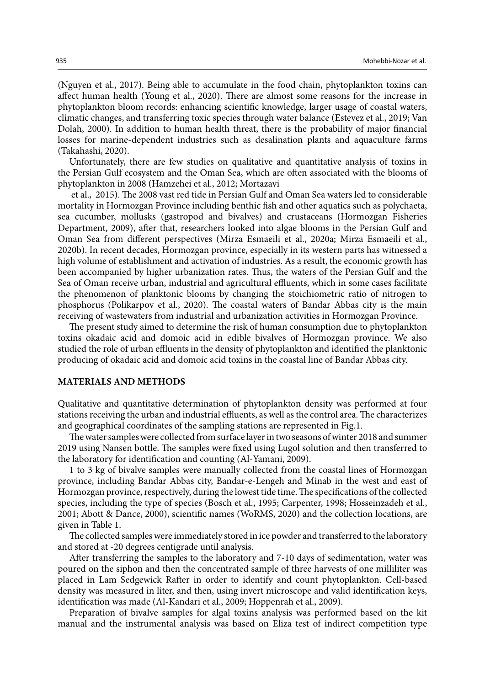(Nguyen et al., 2017). Being able to accumulate in the food chain, phytoplankton toxins can affect human health (Young et al., 2020). There are almost some reasons for the increase in phytoplankton bloom records: enhancing scientific knowledge, larger usage of coastal waters, climatic changes, and transferring toxic species through water balance (Estevez et al., 2019; Van Dolah, 2000). In addition to human health threat, there is the probability of major financial losses for marine-dependent industries such as desalination plants and aquaculture farms (Takahashi, 2020).

Unfortunately, there are few studies on qualitative and quantitative analysis of toxins in the Persian Gulf ecosystem and the Oman Sea, which are often associated with the blooms of phytoplankton in 2008 (Hamzehei et al., 2012; Mortazavi

 et al., 2015). The 2008 vast red tide in Persian Gulf and Oman Sea waters led to considerable mortality in Hormozgan Province including benthic fish and other aquatics such as polychaeta, sea cucumber, mollusks (gastropod and bivalves) and crustaceans (Hormozgan Fisheries Department, 2009), after that, researchers looked into algae blooms in the Persian Gulf and Oman Sea from different perspectives (Mirza Esmaeili et al., 2020a; Mirza Esmaeili et al., 2020b). In recent decades, Hormozgan province, especially in its western parts has witnessed a high volume of establishment and activation of industries. As a result, the economic growth has been accompanied by higher urbanization rates. Thus, the waters of the Persian Gulf and the Sea of Oman receive urban, industrial and agricultural effluents, which in some cases facilitate the phenomenon of planktonic blooms by changing the stoichiometric ratio of nitrogen to phosphorus (Polikarpov et al., 2020). The coastal waters of Bandar Abbas city is the main receiving of wastewaters from industrial and urbanization activities in Hormozgan Province.

The present study aimed to determine the risk of human consumption due to phytoplankton toxins okadaic acid and domoic acid in edible bivalves of Hormozgan province. We also studied the role of urban effluents in the density of phytoplankton and identified the planktonic producing of okadaic acid and domoic acid toxins in the coastal line of Bandar Abbas city.

# **MATERIALS AND METHODS**

Qualitative and quantitative determination of phytoplankton density was performed at four stations receiving the urban and industrial effluents, as well as the control area. The characterizes and geographical coordinates of the sampling stations are represented in Fig.1.

The water samples were collected from surface layer in two seasons of winter 2018 and summer 2019 using Nansen bottle. The samples were fixed using Lugol solution and then transferred to the laboratory for identification and counting (Al-Yamani, 2009).

1 to 3 kg of bivalve samples were manually collected from the coastal lines of Hormozgan province, including Bandar Abbas city, Bandar-e-Lengeh and Minab in the west and east of Hormozgan province, respectively, during the lowest tide time. The specifications of the collected species, including the type of species (Bosch et al., 1995; Carpenter, 1998; Hosseinzadeh et al., 2001; Abott & Dance, 2000), scientific names (WoRMS, 2020) and the collection locations, are given in Table 1.

The collected samples were immediately stored in ice powder and transferred to the laboratory and stored at -20 degrees centigrade until analysis.

After transferring the samples to the laboratory and 7-10 days of sedimentation, water was poured on the siphon and then the concentrated sample of three harvests of one milliliter was placed in Lam Sedgewick Rafter in order to identify and count phytoplankton. Cell-based density was measured in liter, and then, using invert microscope and valid identification keys, identification was made (Al-Kandari et al., 2009; Hoppenrah et al., 2009).

Preparation of bivalve samples for algal toxins analysis was performed based on the kit manual and the instrumental analysis was based on Eliza test of indirect competition type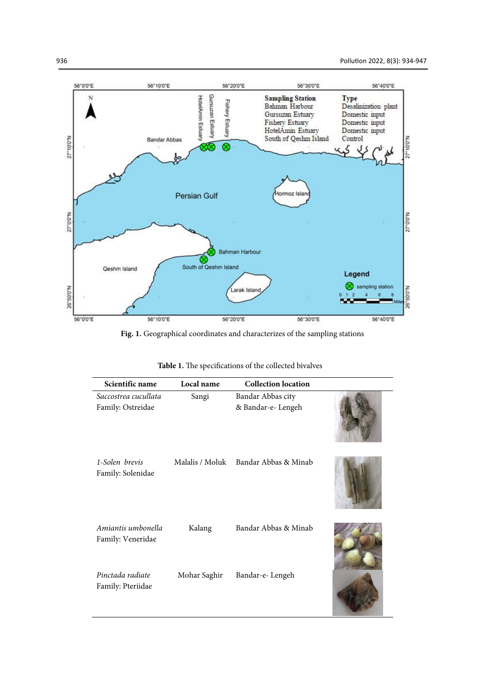**TANK OF BUILDING** 



**Fig. 1.** Geographical coordinates and characterizes of the sampling stations

|  | Table 1. The specifications of the collected bivalves |  |
|--|-------------------------------------------------------|--|

| Scientific name                         | Local name      | <b>Collection location</b> |  |
|-----------------------------------------|-----------------|----------------------------|--|
| Saccostrea cucullata                    | Sangi           | Bandar Abbas city          |  |
| Family: Ostreidae                       |                 | & Bandar-e- Lengeh         |  |
| 1-Solen brevis<br>Family: Solenidae     | Malalis / Moluk | Bandar Abbas & Minab       |  |
| Amiantis umbonella<br>Family: Veneridae | Kalang          | Bandar Abbas & Minab       |  |
| Pinctada radiate<br>Family: Pteriidae   | Mohar Saghir    | Bandar-e-Lengeh            |  |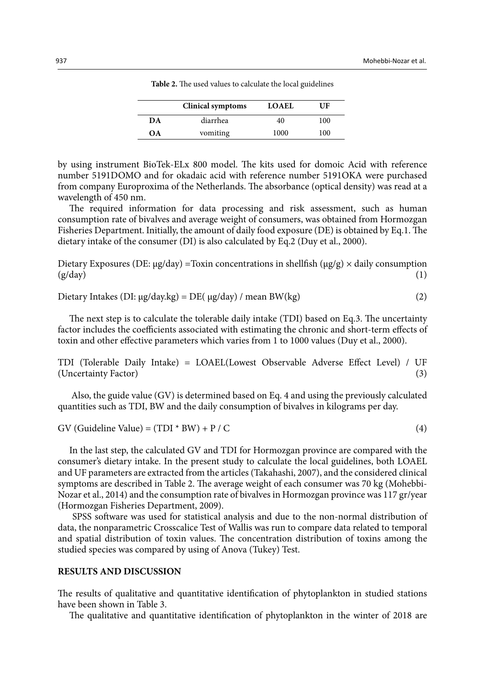|    | <b>Clinical symptoms</b> | <b>LOAEL</b> | UF  |
|----|--------------------------|--------------|-----|
| DА | diarrhea                 | 40           | 100 |
| OΑ | vomiting                 | 1000         | 100 |

Table 2. The used values to calculate the local guidelines **Table 2.** The used values to calculate the local guidelines

by using instrument BioTek-ELx 800 model. The kits used for domoic Acid with reference number 5191DOMO and for okadaic acid with reference number 5191OKA were purchased from company Europroxima of the Netherlands. The absorbance (optical density) was read at a wavelength of 450 nm.

The required information for data processing and risk assessment, such as human consumption rate of bivalves and average weight of consumers, was obtained from Hormozgan Fisheries Department. Initially, the amount of daily food exposure (DE) is obtained by Eq.1. The dietary intake of the consumer (DI) is also calculated by Eq.2 (Duy et al., 2000).

Dietary Exposures (DE:  $\mu$ g/day) = Toxin concentrations in shellfish ( $\mu$ g/g) × daily consumption  $(g/day)$  (1)

$$
Dietary Intakes (DI: \mu g/day.kg) = DE(\mu g/day) / mean BW(kg)
$$
 (2)

The next step is to calculate the tolerable daily intake (TDI) based on Eq.3. The uncertainty factor includes the coefficients associated with estimating the chronic and short-term effects of toxin and other effective parameters which varies from 1 to 1000 values (Duy et al., 2000).

TDI (Tolerable Daily Intake) = LOAEL(Lowest Observable Adverse Effect Level) / UF (Uncertainty Factor) (3)

 Also, the guide value (GV) is determined based on Eq. 4 and using the previously calculated quantities such as TDI, BW and the daily consumption of bivalves in kilograms per day.

GV (Guideline Value) =  $(TDI * BW) + P / C$  (4)

In the last step, the calculated GV and TDI for Hormozgan province are compared with the consumer's dietary intake. In the present study to calculate the local guidelines, both LOAEL and UF parameters are extracted from the articles (Takahashi, 2007), and the considered clinical symptoms are described in Table 2. The average weight of each consumer was 70 kg (Mohebbi-Nozar et al., 2014) and the consumption rate of bivalves in Hormozgan province was 117 gr/year (Hormozgan Fisheries Department, 2009).

 SPSS software was used for statistical analysis and due to the non-normal distribution of data, the nonparametric Crosscalice Test of Wallis was run to compare data related to temporal and spatial distribution of toxin values. The concentration distribution of toxins among the studied species was compared by using of Anova (Tukey) Test.

### **RESULTS AND DISCUSSION**

The results of qualitative and quantitative identification of phytoplankton in studied stations have been shown in Table 3.

The qualitative and quantitative identification of phytoplankton in the winter of 2018 are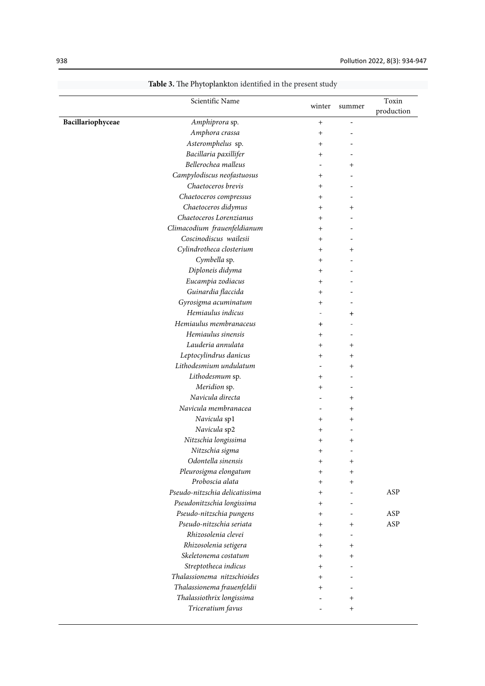|                   | Scientific Name                | winter       | summer       | Toxin<br>production |
|-------------------|--------------------------------|--------------|--------------|---------------------|
| Bacillariophyceae | Amphiprora sp.                 | $+$          |              |                     |
|                   | Amphora crassa                 | $\ddot{}$    |              |                     |
|                   | Asteromphelus sp.              | $\ddot{}$    |              |                     |
|                   | Bacillaria paxillifer          | $^{+}$       |              |                     |
|                   | Bellerochea malleus            |              | $\mathrm{+}$ |                     |
|                   | Campylodiscus neofastuosus     | $^{+}$       |              |                     |
|                   | Chaetoceros brevis             | $+$          |              |                     |
|                   | Chaetoceros compressus         | $\pm$        |              |                     |
|                   | Chaetoceros didymus            | $\ddot{}$    | $^+$         |                     |
|                   | Chaetoceros Lorenzianus        | $^{+}$       |              |                     |
|                   | Climacodium frauenfeldianum    | $\hbox{ }$   |              |                     |
|                   | Coscinodiscus wailesii         | $^{+}$       |              |                     |
|                   | Cylindrotheca closterium       | $+$          | $\mathrm{+}$ |                     |
|                   | Cymbella sp.                   | $\pm$        |              |                     |
|                   | Diploneis didyma               | $^{+}$       |              |                     |
|                   | Eucampia zodiacus              | $^{+}$       |              |                     |
|                   | Guinardia flaccida             | $\hbox{ }$   |              |                     |
|                   | Gyrosigma acuminatum           | $\hbox{ }$   |              |                     |
|                   | Hemiaulus indicus              |              | $\ddot{}$    |                     |
|                   | Hemiaulus membranaceus         | $\ddot{}$    |              |                     |
|                   | Hemiaulus sinensis             | $^{+}$       |              |                     |
|                   | Lauderia annulata              | $^{+}$       | $^{+}$       |                     |
|                   | Leptocylindrus danicus         | $\hbox{ }$   | $\mathrm{+}$ |                     |
|                   | Lithodesmium undulatum         |              | $\hbox{+}$   |                     |
|                   | Lithodesmum sp.                | $\hbox{ }$   |              |                     |
|                   | Meridion sp.                   | $\pm$        |              |                     |
|                   | Navicula directa               |              |              |                     |
|                   | Navicula membranacea           |              | $^+$         |                     |
|                   |                                |              | $\mathrm{+}$ |                     |
|                   | Navicula sp1                   | $\hbox{ }$   | $\mathrm{+}$ |                     |
|                   | Navicula sp2                   | $\hbox{ }$   |              |                     |
|                   | Nitzschia longissima           | $\hbox{ }$   | $\,{}^+$     |                     |
|                   | Nitzschia sigma                | $\mathrm{+}$ |              |                     |
|                   | Odontella sinensis             | $^{+}$       | $^{+}$       |                     |
|                   | Pleurosigma elongatum          | $^{+}$       | $^{+}$       |                     |
|                   | Proboscia alata                | $^{+}$       | $^{+}$       |                     |
|                   | Pseudo-nitzschia delicatissima | $\hbox{ }$   |              | ASP                 |
|                   | Pseudonitzschia longissima     | $\ddot{}$    |              |                     |
|                   | Pseudo-nitzschia pungens       | $+$          |              | ASP                 |
|                   | Pseudo-nitzschia seriata       | $+$          | $\pm$        | ASP                 |
|                   | Rhizosolenia clevei            | $+$          |              |                     |
|                   | Rhizosolenia setigera          | $^{+}$       | $^{+}$       |                     |
|                   | Skeletonema costatum           | $^{+}$       | $^{+}$       |                     |
|                   | Streptotheca indicus           | $+$          |              |                     |
|                   | Thalassionema nitzschioides    | $^{+}$       |              |                     |
|                   | Thalassionema frauenfeldii     | $^{+}$       |              |                     |
|                   | Thalassiothrix longissima      |              | $\,^+$       |                     |
|                   | Triceratium favus              |              |              |                     |

**Table 3.** The Phytoplankton identified in the present study **Table 3.** The Phytoplankton identified in the present study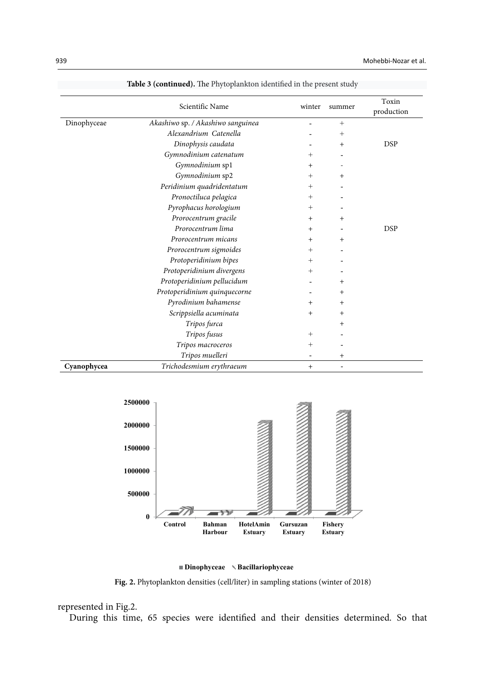|             | Scientific Name                   | winter | summer | Toxin<br>production |
|-------------|-----------------------------------|--------|--------|---------------------|
| Dinophyceae | Akashiwo sp. / Akashiwo sanguinea |        | $+$    |                     |
|             | Alexandrium Catenella             |        | $^{+}$ |                     |
|             | Dinophysis caudata                |        | $+$    | <b>DSP</b>          |
|             | Gymnodinium catenatum             | $^{+}$ |        |                     |
|             | Gymnodinium sp1                   | $^{+}$ |        |                     |
|             | Gymnodinium sp2                   | $+$    | $^{+}$ |                     |
|             | Peridinium quadridentatum         | $^{+}$ |        |                     |
|             | Pronoctiluca pelagica             | $^{+}$ |        |                     |
|             | Pyrophacus horologium             | $+$    |        |                     |
|             | Prorocentrum gracile              | $+$    | $^{+}$ |                     |
|             | Prorocentrum lima                 | $+$    |        | <b>DSP</b>          |
|             | Prorocentrum micans               | $+$    | $+$    |                     |
|             | Prorocentrum sigmoides            | $^{+}$ |        |                     |
|             | Protoperidinium bipes             | $+$    |        |                     |
|             | Protoperidinium divergens         | $+$    |        |                     |
|             | Protoperidinium pellucidum        |        | $^+$   |                     |
|             | Protoperidinium quinquecorne      |        | $\,^+$ |                     |
|             | Pyrodinium bahamense              | $^{+}$ | $^{+}$ |                     |
|             | Scrippsiella acuminata            | $+$    | $+$    |                     |
|             | Tripos furca                      |        | $^{+}$ |                     |
|             | Tripos fusus                      | $^{+}$ |        |                     |
|             | Tripos macroceros                 | $^{+}$ |        |                     |
|             | Tripos muelleri                   |        | $+$    |                     |
| Cyanophycea | Trichodesmium erythraeum          | $+$    | -      |                     |

**Table 3 (continued).** The Phytoplankton identified in the present study **Table 3 (continued).** The Phytoplankton identified in the present study





**Fig. 2.** Phytoplankton densities (cell/liter) in sampling stations (winter of 2018)

#### represented in Fig.2. **Fig. 2.** Phytoplankton densities (cell/liter) in sampling stations (winter of 2018)

During this time, 65 species were identified and their densities determined. So that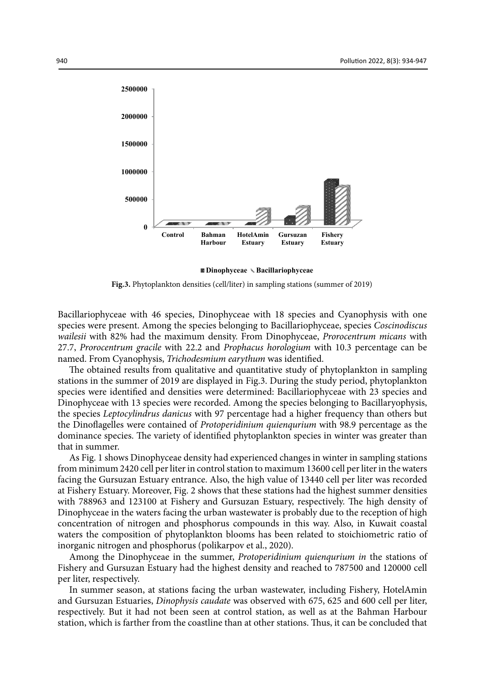

**Dinophyceae Bacillariophyceae**

**Fig.3.** Phytoplankton densities (cell/liter) in sampling stations (summer of 2019)

Bacillariophyceae with 46 species, Dinophyceae with 18 species and Cyanophysis with one species were present. Among the species belonging to Bacillariophyceae, species *Coscinodiscus wailesii* with 82% had the maximum density. From Dinophyceae, *Prorocentrum micans* with 27.7, *Prorocentrum gracile* with 22.2 and *Prophacus horologium* with 10.3 percentage can be named. From Cyanophysis, *Trichodesmium earythum* was identified.

The obtained results from qualitative and quantitative study of phytoplankton in sampling stations in the summer of 2019 are displayed in Fig.3. During the study period, phytoplankton species were identified and densities were determined: Bacillariophyceae with 23 species and Dinophyceae with 13 species were recorded. Among the species belonging to Bacillaryophysis, the species *Leptocylindrus danicus* with 97 percentage had a higher frequency than others but the Dinoflagelles were contained of *Protoperidinium quienqurium* with 98.9 percentage as the dominance species. The variety of identified phytoplankton species in winter was greater than that in summer.

As Fig. 1 shows Dinophyceae density had experienced changes in winter in sampling stations from minimum 2420 cell per liter in control station to maximum 13600 cell per liter in the waters facing the Gursuzan Estuary entrance. Also, the high value of 13440 cell per liter was recorded at Fishery Estuary. Moreover, Fig. 2 shows that these stations had the highest summer densities with 788963 and 123100 at Fishery and Gursuzan Estuary, respectively. The high density of Dinophyceae in the waters facing the urban wastewater is probably due to the reception of high concentration of nitrogen and phosphorus compounds in this way. Also, in Kuwait coastal waters the composition of phytoplankton blooms has been related to stoichiometric ratio of inorganic nitrogen and phosphorus (polikarpov et al., 2020).

Among the Dinophyceae in the summer, *Protoperidinium quienqurium in* the stations of Fishery and Gursuzan Estuary had the highest density and reached to 787500 and 120000 cell per liter, respectively.

In summer season, at stations facing the urban wastewater, including Fishery, HotelAmin and Gursuzan Estuaries, *Dinophysis caudate* was observed with 675, 625 and 600 cell per liter, respectively. But it had not been seen at control station, as well as at the Bahman Harbour station, which is farther from the coastline than at other stations. Thus, it can be concluded that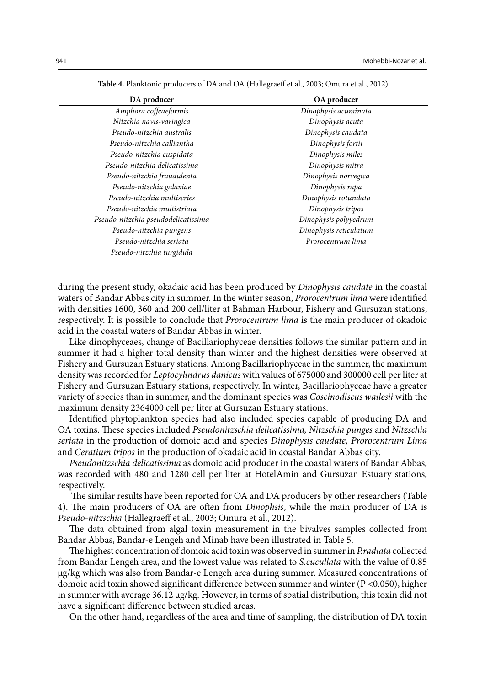| DA producer                         | OA producer            |  |
|-------------------------------------|------------------------|--|
| Amphora coffeaeformis               | Dinophysis acuminata   |  |
| Nitzchia navis-varingica            | Dinophysis acuta       |  |
| Pseudo-nitzchia australis           | Dinophysis caudata     |  |
| Pseudo-nitzchia calliantha          | Dinophysis fortii      |  |
| Pseudo-nitzchia cuspidata           | Dinophysis miles       |  |
| Pseudo-nitzchia delicatissima       | Dinophysis mitra       |  |
| Pseudo-nitzchia fraudulenta         | Dinophysis norvegica   |  |
| Pseudo-nitzchia galaxiae            | Dinophysis rapa        |  |
| Pseudo-nitzchia multiseries         | Dinophysis rotundata   |  |
| Pseudo-nitzchia multistriata        | Dinophysis tripos      |  |
| Pseudo-nitzchia pseudodelicatissima | Dinophysis polyyedrum  |  |
| Pseudo-nitzchia pungens             | Dinophysis reticulatum |  |
| Pseudo-nitzchia seriata             | Prorocentrum lima      |  |
| Pseudo-nitzchia turgidula           |                        |  |

**Table 4.** Planktonic producers of DA and OA (Hallegraeff et al., 2003; Omura et al., 2012) **Table 4.** Planktonic producers of DA and OA (Hallegraeff et al., 2003; Omura et al., 2012)

during the present study, okadaic acid has been produced by *Dinophysis caudate* in the coastal waters of Bandar Abbas city in summer. In the winter season, *Prorocentrum lima* were identified with densities 1600, 360 and 200 cell/liter at Bahman Harbour, Fishery and Gursuzan stations, respectively. It is possible to conclude that *Prorocentrum lima* is the main producer of okadoic acid in the coastal waters of Bandar Abbas in winter.

Like dinophyceaes, change of Bacillariophyceae densities follows the similar pattern and in summer it had a higher total density than winter and the highest densities were observed at Fishery and Gursuzan Estuary stations. Among Bacillariophyceae in the summer, the maximum density was recorded for *Leptocylindrus danicus* with values of 675000 and 300000 cell per liter at Fishery and Gursuzan Estuary stations, respectively. In winter, Bacillariophyceae have a greater variety of species than in summer, and the dominant species was *Coscinodiscus wailesii* with the maximum density 2364000 cell per liter at Gursuzan Estuary stations.

Identified phytoplankton species had also included species capable of producing DA and OA toxins. These species included *Pseudonitzschia delicatissima, Nitzschia punges* and *Nitzschia seriata* in the production of domoic acid and species *Dinophysis caudate, Prorocentrum Lima*  and *Ceratium tripos* in the production of okadaic acid in coastal Bandar Abbas city.

*Pseudonitzschia delicatissima* as domoic acid producer in the coastal waters of Bandar Abbas, was recorded with 480 and 1280 cell per liter at HotelAmin and Gursuzan Estuary stations, respectively.

 The similar results have been reported for OA and DA producers by other researchers (Table 4). The main producers of OA are often from *Dinophsis*, while the main producer of DA is *Pseudo-nitzschia* (Hallegraeff et al., 2003; Omura et al., 2012).

The data obtained from algal toxin measurement in the bivalves samples collected from Bandar Abbas, Bandar-e Lengeh and Minab have been illustrated in Table 5.

The highest concentration of domoic acid toxin was observed in summer in *P.radiata* collected from Bandar Lengeh area, and the lowest value was related to *S.cucullata* with the value of 0.85 µg/kg which was also from Bandar-e Lengeh area during summer. Measured concentrations of domoic acid toxin showed significant difference between summer and winter (P <0.050), higher in summer with average  $36.12 \mu g/kg$ . However, in terms of spatial distribution, this toxin did not have a significant difference between studied areas.

On the other hand, regardless of the area and time of sampling, the distribution of DA toxin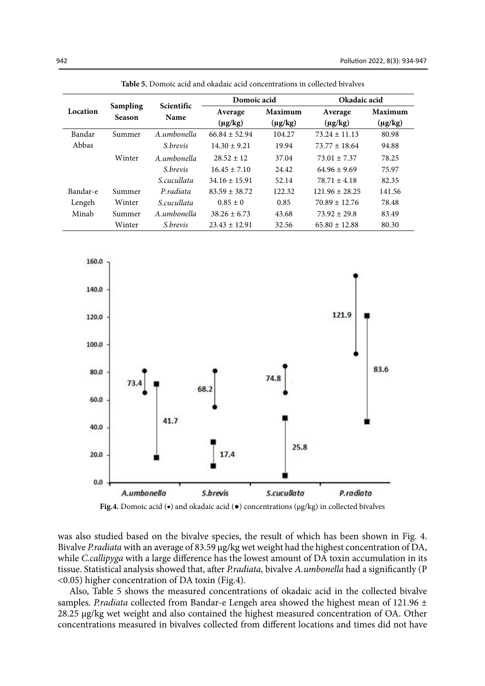|          |                           | <b>Scientific</b> | Domoic acid       |              | Okadaic acid       |              |
|----------|---------------------------|-------------------|-------------------|--------------|--------------------|--------------|
| Location | Sampling<br><b>Season</b> | Name              | Average           | Maximum      | Average            | Maximum      |
|          |                           |                   | $(\mu g/kg)$      | $(\mu g/kg)$ | $(\mu g/kg)$       | $(\mu g/kg)$ |
| Bandar   | Summer                    | A.umbonella       | $66.84 \pm 52.94$ | 104.27       | $73.24 \pm 11.13$  | 80.98        |
| Abbas    |                           | <i>S.brevis</i>   | $14.30 \pm 9.21$  | 19.94        | $73.77 \pm 18.64$  | 94.88        |
|          | Winter                    | A.umbonella       | $28.52 + 12$      | 37.04        | $73.01 + 7.37$     | 78.25        |
|          |                           | <i>S.brevis</i>   | $16.45 \pm 7.10$  | 24.42        | $64.96 \pm 9.69$   | 75.97        |
|          |                           | S.cucullata       | $34.16 \pm 15.91$ | 52.14        | $78.71 \pm 4.18$   | 82.35        |
| Bandar-e | Summer                    | P radiata         | $83.59 \pm 38.72$ | 122.32       | $121.96 \pm 28.25$ | 141.56       |
| Lengeh   | Winter                    | S.cucullata       | $0.85 \pm 0$      | 0.85         | $70.89 \pm 12.76$  | 78.48        |
| Minab    | Summer                    | A.umbonella       | $38.26 \pm 6.73$  | 43.68        | $73.92 \pm 29.8$   | 83.49        |
|          | Winter                    | <i>S.brevis</i>   | $23.43 \pm 12.91$ | 32.56        | $65.80 \pm 12.88$  | 80.30        |

**Table 5.** Domoic acid and okadaic acid concentrations in collected bivalves **Table 5.** Domoic acid and okadaic acid concentrations in collected bivalves





was also studied based on the bivalve species, the result of which has been shown in Fig. 4. Bivalve *P.radiata* with an average of 83.59 µg/kg wet weight had the highest concentration of DA, while *C.callipyga* with a large difference has the lowest amount of DA toxin accumulation in its tissue. Statistical analysis showed that, after *P.radiata,* bivalve *A.umbonella* had a significantly (P <0.05) higher concentration of DA toxin (Fig.4).

Also, Table 5 shows the measured concentrations of okadaic acid in the collected bivalve samples. *P.radiata* collected from Bandar-e Lengeh area showed the highest mean of 121.96 ± 28.25 µg/kg wet weight and also contained the highest measured concentration of OA. Other concentrations measured in bivalves collected from different locations and times did not have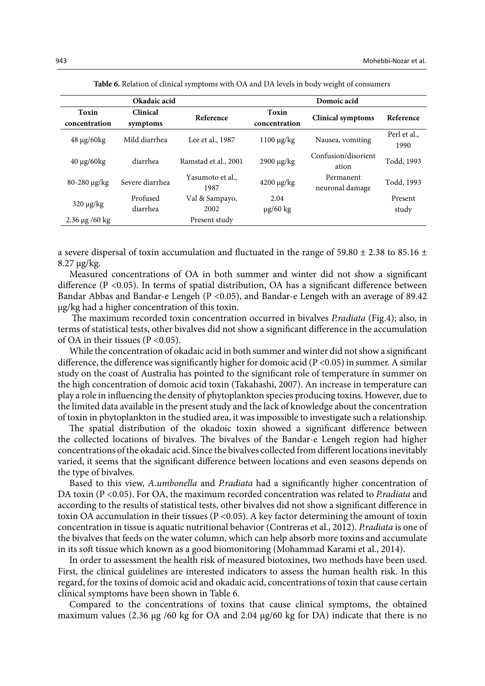| Okadaic acid           |                      |                          |                        | Domoic acid                  |                      |
|------------------------|----------------------|--------------------------|------------------------|------------------------------|----------------------|
| Toxin<br>concentration | Clinical<br>symptoms | Reference                | Toxin<br>concentration | <b>Clinical symptoms</b>     | Reference            |
| 48 μg/60kg             | Mild diarrhea        | Lee et al., 1987         | $1100 \mu g/kg$        | Nausea, vomiting             | Perl et al.,<br>1990 |
| $40 \mu g/60 kg$       | diarrhea             | Ramstad et al., 2001     | 2900 μg/kg             | Confusion/disorient<br>ation | Todd, 1993           |
| 80-280 μg/kg           | Severe diarrhea      | Yasumoto et al.,<br>1987 | $4200 \mu g/kg$        | Permanent<br>neuronal damage | Todd, 1993           |
| $320 \mu g/kg$         | Profused<br>diarrhea | Val & Sampayo,<br>2002   | 2.04<br>$\mu$ g/60 kg  |                              | Present<br>study     |
| $2.36 \,\mu g$ /60 kg  |                      | Present study            |                        |                              |                      |

**Table 6.** Relation of clinical symptoms with OA and DA levels in body weight of consumers **Table 6.** Relation of clinical symptoms with OA and DA levels in body weight of consumers

a severe dispersal of toxin accumulation and fluctuated in the range of 59.80  $\pm$  2.38 to 85.16  $\pm$ 8.27 µg/kg.

Measured concentrations of OA in both summer and winter did not show a significant difference (P <0.05). In terms of spatial distribution, OA has a significant difference between Bandar Abbas and Bandar-e Lengeh (P <0.05), and Bandar-e Lengeh with an average of 89.42 µg/kg had a higher concentration of this toxin.

 The maximum recorded toxin concentration occurred in bivalves *P.radiata* (Fig.4); also, in terms of statistical tests, other bivalves did not show a significant difference in the accumulation of OA in their tissues ( $P < 0.05$ ).

While the concentration of okadaic acid in both summer and winter did not show a significant difference, the difference was significantly higher for domoic acid ( $P < 0.05$ ) in summer. A similar study on the coast of Australia has pointed to the significant role of temperature in summer on the high concentration of domoic acid toxin (Takahashi, 2007). An increase in temperature can play a role in influencing the density of phytoplankton species producing toxins. However, due to the limited data available in the present study and the lack of knowledge about the concentration of toxin in phytoplankton in the studied area, it was impossible to investigate such a relationship.

The spatial distribution of the okadoic toxin showed a significant difference between the collected locations of bivalves. The bivalves of the Bandar-e Lengeh region had higher concentrations of the okadaic acid. Since the bivalves collected from different locations inevitably varied, it seems that the significant difference between locations and even seasons depends on the type of bivalves.

Based to this view, *A.umbonella* and *P.radiata* had a significantly higher concentration of DA toxin (P <0.05). For OA, the maximum recorded concentration was related to *P.radiata* and according to the results of statistical tests, other bivalves did not show a significant difference in toxin OA accumulation in their tissues ( $P < 0.05$ ). A key factor determining the amount of toxin concentration in tissue is aquatic nutritional behavior (Contreras et al., 2012). *P.radiata* is one of the bivalves that feeds on the water column, which can help absorb more toxins and accumulate in its soft tissue which known as a good biomonitoring (Mohammad Karami et al., 2014).

In order to assessment the health risk of measured biotoxines, two methods have been used. First, the clinical guidelines are interested indicators to assess the human health risk. In this regard, for the toxins of domoic acid and okadaic acid, concentrations of toxin that cause certain clinical symptoms have been shown in Table 6.

Compared to the concentrations of toxins that cause clinical symptoms, the obtained maximum values (2.36  $\mu$ g /60 kg for OA and 2.04  $\mu$ g/60 kg for DA) indicate that there is no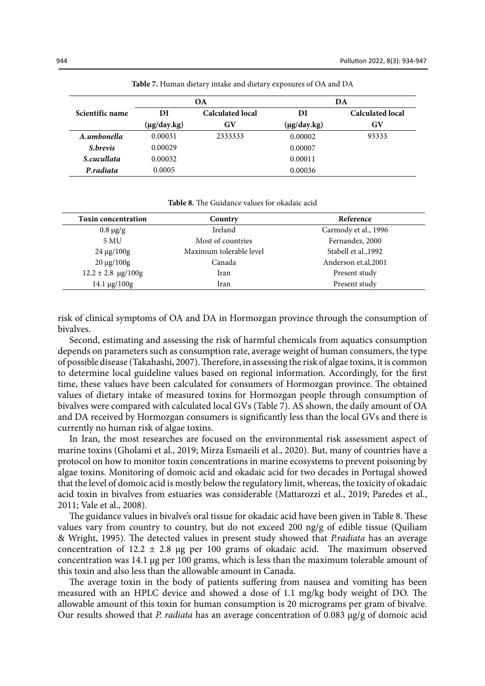|                 | OА                 |                         | DA          |                         |
|-----------------|--------------------|-------------------------|-------------|-------------------------|
| Scientific name | DI                 | <b>Calculated local</b> | DI          | <b>Calculated local</b> |
|                 | $(\mu g / day.kg)$ | GV                      | (µg/day.kg) | GV                      |
| A.umbonella     | 0.00031            | 2333333                 | 0.00002     | 93333                   |
| S.brevis        | 0.00029            |                         | 0.00007     |                         |
| S.cucullata     | 0.00032            |                         | 0.00011     |                         |
| P.radiata       | 0.0005             |                         | 0.00036     |                         |

**Table 7.** Human dietary intake and dietary exposures of OA and DA **Table 7.** Human dietary intake and dietary exposures of OA and DA

**Table 8.** The Guidance values for okadaic acid **Table 8.** The Guidance values for okadaic acid

| <b>Toxin concentration</b> | Country                 | Reference            |
|----------------------------|-------------------------|----------------------|
| $0.8 \mu g/g$              | Ireland                 | Carmody et al., 1996 |
| 5 MU                       | Most of countries       | Fernandez, 2000      |
| $24 \mu g / 100g$          | Maximum tolerable level | Stabell et al., 1992 |
| $20 \mu g / 100g$          | Canada                  | Anderson et.al, 2001 |
| $12.2 \pm 2.8$ µg/100g     | Iran                    | Present study        |
| $14.1 \mu g / 100g$        | Iran                    | Present study        |
|                            |                         |                      |

risk of clinical symptoms of OA and DA in Hormozgan province through the consumption of bivalves.

Second, estimating and assessing the risk of harmful chemicals from aquatics consumption depends on parameters such as consumption rate, average weight of human consumers, the type of possible disease (Takahashi, 2007). Therefore, in assessing the risk of algae toxins, it is common to determine local guideline values based on regional information. Accordingly, for the first time, these values have been calculated for consumers of Hormozgan province. The obtained values of dietary intake of measured toxins for Hormozgan people through consumption of bivalves were compared with calculated local GVs (Table 7). AS shown, the daily amount of OA and DA received by Hormozgan consumers is significantly less than the local GVs and there is currently no human risk of algae toxins.

In Iran, the most researches are focused on the environmental risk assessment aspect of marine toxins (Gholami et al., 2019; Mirza Esmaeili et al., 2020). But, many of countries have a protocol on how to monitor toxin concentrations in marine ecosystems to prevent poisoning by algae toxins. Monitoring of domoic acid and okadaic acid for two decades in Portugal showed that the level of domoic acid is mostly below the regulatory limit, whereas, the toxicity of okadaic acid toxin in bivalves from estuaries was considerable (Mattarozzi et al., 2019; Paredes et al., 2011; Vale et al., 2008).

The guidance values in bivalve's oral tissue for okadaic acid have been given in Table 8. These values vary from country to country, but do not exceed 200 ng/g of edible tissue (Quiliam & Wright, 1995). The detected values in present study showed that *P.radiata* has an average concentration of 12.2  $\pm$  2.8 µg per 100 grams of okadaic acid. The maximum observed concentration was 14.1  $\mu$ g per 100 grams, which is less than the maximum tolerable amount of this toxin and also less than the allowable amount in Canada.

The average toxin in the body of patients suffering from nausea and vomiting has been measured with an HPLC device and showed a dose of 1.1 mg/kg body weight of DO. The allowable amount of this toxin for human consumption is 20 micrograms per gram of bivalve. Our results showed that *P. radiata* has an average concentration of 0.083 µg/g of domoic acid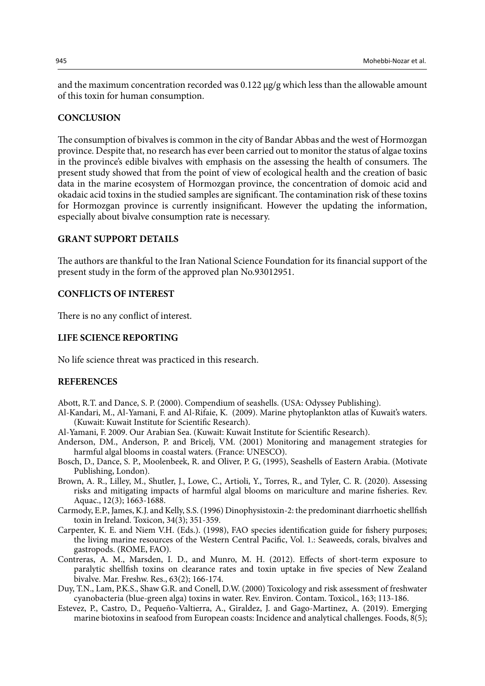and the maximum concentration recorded was 0.122  $\mu$ g/g which less than the allowable amount of this toxin for human consumption.

### **CONCLUSION**

The consumption of bivalves is common in the city of Bandar Abbas and the west of Hormozgan province. Despite that, no research has ever been carried out to monitor the status of algae toxins in the province's edible bivalves with emphasis on the assessing the health of consumers. The present study showed that from the point of view of ecological health and the creation of basic data in the marine ecosystem of Hormozgan province, the concentration of domoic acid and okadaic acid toxins in the studied samples are significant. The contamination risk of these toxins for Hormozgan province is currently insignificant. However the updating the information, especially about bivalve consumption rate is necessary.

# **GRANT SUPPORT DETAILS**

The authors are thankful to the Iran National Science Foundation for its financial support of the present study in the form of the approved plan No.93012951.

# **CONFLICTS OF INTEREST**

There is no any conflict of interest.

# **LIFE SCIENCE REPORTING**

No life science threat was practiced in this research.

### **REFERENCES**

Abott, R.T. and Dance, S. P. (2000). Compendium of seashells. (USA: Odyssey Publishing).

- Al-Kandari, M., Al-Yamani, F. and Al-Rifaie, K. (2009). Marine phytoplankton atlas of Kuwait's waters. (Kuwait: Kuwait Institute for Scientific Research).
- Al-Yamani, F. 2009. Our Arabian Sea. (Kuwait: Kuwait Institute for Scientific Research).
- Anderson, DM., Anderson, P. and Bricelj, VM. (2001) Monitoring and management strategies for harmful algal blooms in coastal waters. (France: UNESCO).
- Bosch, D., Dance, S. P., Moolenbeek, R. and Oliver, P. G, (1995), Seashells of Eastern Arabia. (Motivate Publishing, London).
- Brown, A. R., Lilley, M., Shutler, J., Lowe, C., Artioli, Y., Torres, R., and Tyler, C. R. (2020). Assessing risks and mitigating impacts of harmful algal blooms on mariculture and marine fisheries. Rev. Aquac., 12(3); 1663-1688.
- Carmody, E.P., James, K.J. and Kelly, S.S. (1996) Dinophysistoxin-2: the predominant diarrhoetic shellfish toxin in Ireland. Toxicon, 34(3); 351-359.
- Carpenter, K. E. and Niem V.H. (Eds.). (1998), FAO species identification guide for fishery purposes; the living marine resources of the Western Central Pacific, Vol. 1.: Seaweeds, corals, bivalves and gastropods. (ROME, FAO).
- Contreras, A. M., Marsden, I. D., and Munro, M. H. (2012). Effects of short-term exposure to paralytic shellfish toxins on clearance rates and toxin uptake in five species of New Zealand bivalve. Mar. Freshw. Res., 63(2); 166-174.
- Duy, T.N., Lam, P.K.S., Shaw G.R. and Conell, D.W. (2000) Toxicology and risk assessment of freshwater cyanobacteria (blue-green alga) toxins in water. Rev. Environ. Contam. Toxicol., 163; 113-186.
- Estevez, P., Castro, D., Pequeño-Valtierra, A., Giraldez, J. and Gago-Martinez, A. (2019). Emerging marine biotoxins in seafood from European coasts: Incidence and analytical challenges. Foods, 8(5);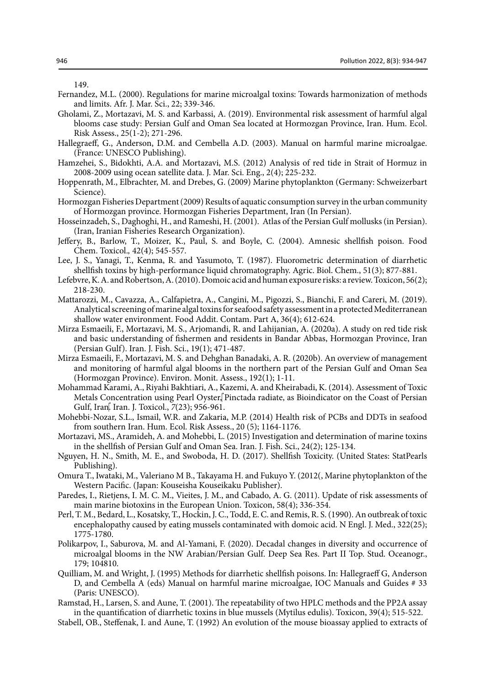149.

- Fernandez, M.L. (2000). Regulations for marine microalgal toxins: Towards harmonization of methods and limits. Afr. J. Mar. Sci., 22; 339-346.
- Gholami, Z., Mortazavi, M. S. and Karbassi, A. (2019). Environmental risk assessment of harmful algal blooms case study: Persian Gulf and Oman Sea located at Hormozgan Province, Iran. Hum. Ecol. Risk Assess., 25(1-2); 271-296.
- Hallegraeff, G., Anderson, D.M. and Cembella A.D. (2003). Manual on harmful marine microalgae. (France: UNESCO Publishing).
- Hamzehei, S., Bidokhti, A.A. and Mortazavi, M.S. (2012) Analysis of red tide in Strait of Hormuz in 2008-2009 using ocean satellite data. J. Mar. Sci. Eng., 2(4); 225-232.
- Hoppenrath, M., Elbrachter, M. and Drebes, G. (2009) Marine phytoplankton (Germany: Schweizerbart Science).
- Hormozgan Fisheries Department (2009) Results of aquatic consumption survey in the urban community of Hormozgan province. Hormozgan Fisheries Department, Iran (In Persian).
- Hosseinzadeh, S., Daghoghi, H., and Rameshi, H. (2001). Atlas of the Persian Gulf mollusks (in Persian). (Iran, Iranian Fisheries Research Organization).
- Jeffery, B., Barlow, T., Moizer, K., Paul, S. and Boyle, C. (2004). Amnesic shellfish poison. Food Chem. Toxicol.*,* 42(4); 545-557.
- Lee, J. S., Yanagi, T., Kenma, R. and Yasumoto, T. (1987). Fluorometric determination of diarrhetic shellfish toxins by high-performance liquid chromatography. Agric. Biol. Chem., 51(3); 877-881.
- Lefebvre, K. A. and Robertson, A. (2010). Domoic acid and human exposure risks: a review. Toxicon, 56(2); 218-230.
- Mattarozzi, M., Cavazza, A., Calfapietra, A., Cangini, M., Pigozzi, S., Bianchi, F. and Careri, M. (2019). Analytical screening of marine algal toxins for seafood safety assessment in a protected Mediterranean shallow water environment. Food Addit. Contam. Part A, 36(4); 612-624.
- Mirza Esmaeili, F., Mortazavi, M. S., Arjomandi, R. and Lahijanian, A. (2020a). A study on red tide risk and basic understanding of fishermen and residents in Bandar Abbas, Hormozgan Province, Iran (Persian Gulf). Iran. J. Fish. Sci., 19(1); 471-487.
- Mirza Esmaeili, F., Mortazavi, M. S. and Dehghan Banadaki, A. R. (2020b). An overview of management and monitoring of harmful algal blooms in the northern part of the Persian Gulf and Oman Sea (Hormozgan Province). Environ. Monit. Assess., 192(1); 1-11.
- Mohammad Karami, A., Riyahi Bakhtiari, A., Kazemi, A. and Kheirabadi, K. (2014). Assessment of Toxic Metals Concentration using Pearl Oyster, Pinctada radiate, as Bioindicator on the Coast of Persian Gulf, Iran. I. Toxicol.,  $7(23)$ ; 956-961.
- Mohebbi-Nozar, S.L., Ismail, W.R. and Zakaria, M.P. (2014) Health risk of PCBs and DDTs in seafood from southern Iran. Hum. Ecol. Risk Assess., 20 (5); 1164-1176.
- Mortazavi, MS., Aramideh, A. and Mohebbi, L. (2015) Investigation and determination of marine toxins in the shellfish of Persian Gulf and Oman Sea. Iran. J. Fish. Sci., 24(2); 125-134.
- Nguyen, H. N., Smith, M. E., and Swoboda, H. D. (2017). Shellfish Toxicity. (United States: StatPearls Publishing).
- Omura T., Iwataki, M., Valeriano M B., Takayama H. and Fukuyo Y. (2012(, Marine phytoplankton of the Western Pacific. (Japan: Kouseisha Kouseikaku Publisher).
- Paredes, I., Rietjens, I. M. C. M., Vieites, J. M., and Cabado, A. G. (2011). Update of risk assessments of main marine biotoxins in the European Union. Toxicon, 58(4); 336-354.
- Perl, T. M., Bedard, L., Kosatsky, T., Hockin, J. C., Todd, E. C. and Remis, R. S. (1990). An outbreak of toxic encephalopathy caused by eating mussels contaminated with domoic acid. N Engl. J. Med., 322(25); 1775-1780.
- Polikarpov, I., Saburova, M. and Al-Yamani, F. (2020). Decadal changes in diversity and occurrence of microalgal blooms in the NW Arabian/Persian Gulf. Deep Sea Res. Part II Top. Stud. Oceanogr., 179; 104810.
- Quilliam, M. and Wright, J. (1995) Methods for diarrhetic shellfish poisons. In: Hallegraeff G, Anderson D, and Cembella A (eds) Manual on harmful marine microalgae, IOC Manuals and Guides # 33 (Paris: UNESCO).
- Ramstad, H., Larsen, S. and Aune, T. (2001). The repeatability of two HPLC methods and the PP2A assay in the quantification of diarrhetic toxins in blue mussels (Mytilus edulis). Toxicon, 39(4); 515-522.
- Stabell, OB., Steffenak, I. and Aune, T. (1992) An evolution of the mouse bioassay applied to extracts of